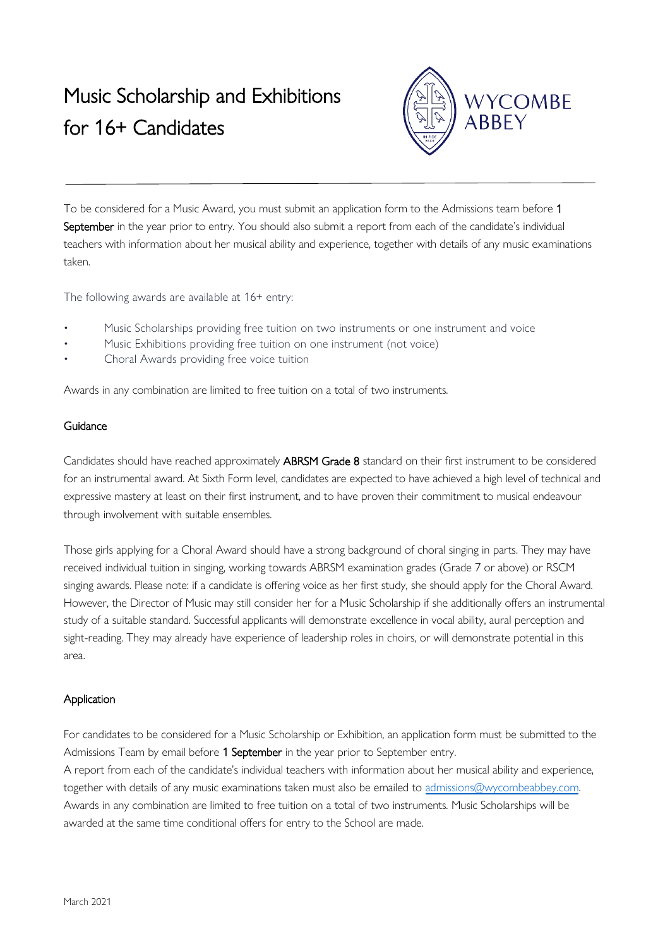# Music Scholarship and Exhibitions for 16+ Candidates



To be considered for a Music Award, you must submit an application form to the Admissions team before 1 September in the year prior to entry. You should also submit a report from each of the candidate's individual teachers with information about her musical ability and experience, together with details of any music examinations taken.

The following awards are available at 16+ entry:

- Music Scholarships providing free tuition on two instruments or one instrument and voice
- Music Exhibitions providing free tuition on one instrument (not voice)
- Choral Awards providing free voice tuition

Awards in any combination are limited to free tuition on a total of two instruments.

## **Guidance**

Candidates should have reached approximately ABRSM Grade 8 standard on their first instrument to be considered for an instrumental award. At Sixth Form level, candidates are expected to have achieved a high level of technical and expressive mastery at least on their first instrument, and to have proven their commitment to musical endeavour through involvement with suitable ensembles.

Those girls applying for a Choral Award should have a strong background of choral singing in parts. They may have received individual tuition in singing, working towards ABRSM examination grades (Grade 7 or above) or RSCM singing awards. Please note: if a candidate is offering voice as her first study, she should apply for the Choral Award. However, the Director of Music may still consider her for a Music Scholarship if she additionally offers an instrumental study of a suitable standard. Successful applicants will demonstrate excellence in vocal ability, aural perception and sight-reading. They may already have experience of leadership roles in choirs, or will demonstrate potential in this area.

## Application

For candidates to be considered for a Music Scholarship or Exhibition, an application form must be submitted to the Admissions Team by email before 1 September in the year prior to September entry.

A report from each of the candidate's individual teachers with information about her musical ability and experience, together with details of any music examinations taken must also be emailed to [admissions@wycombeabbey.com.](mailto:admissions@wycombeabbey.com) Awards in any combination are limited to free tuition on a total of two instruments. Music Scholarships will be awarded at the same time conditional offers for entry to the School are made.